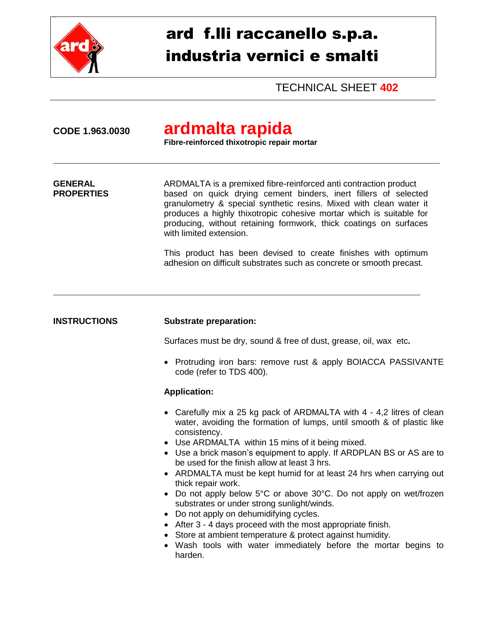

# ard f.lli raccanello s.p.a. industria vernici e smalti

TECHNICAL SHEET **402**

## **CODE 1.963.0030 ardmalta rapida**

**Fibre-reinforced thixotropic repair mortar** 

\_\_\_\_\_\_\_\_\_\_\_\_\_\_\_\_\_\_\_\_\_\_\_\_\_\_\_\_\_\_\_\_\_\_\_\_\_\_\_\_\_\_\_\_\_\_\_\_\_\_\_\_\_\_\_\_\_\_\_\_\_\_\_\_\_\_\_\_\_\_\_\_\_\_\_\_\_\_\_\_\_\_\_\_\_\_\_\_\_\_\_\_\_\_\_\_\_\_\_

**GENERAL** ARDMALTA is a premixed fibre-reinforced anti contraction product **PROPERTIES** based on quick drying cement binders, inert fillers of selected granulometry & special synthetic resins. Mixed with clean water it produces a highly thixotropic cohesive mortar which is suitable for producing, without retaining formwork, thick coatings on surfaces with limited extension.

\_\_\_\_\_\_\_\_\_\_\_\_\_\_\_\_\_\_\_\_\_\_\_\_\_\_\_\_\_\_\_\_\_\_\_\_\_\_\_\_\_\_\_\_\_\_\_\_\_\_\_\_\_\_\_\_\_\_\_\_\_\_\_\_\_\_\_\_\_\_\_\_\_\_\_\_\_\_\_\_\_\_\_\_\_\_\_\_\_\_\_\_\_\_

This product has been devised to create finishes with optimum adhesion on difficult substrates such as concrete or smooth precast.

### **INSTRUCTIONS Substrate preparation:**

Surfaces must be dry, sound & free of dust, grease, oil, wax etc**.**

• Protruding iron bars: remove rust & apply BOIACCA PASSIVANTE code (refer to TDS 400).

### **Application:**

- Carefully mix a 25 kg pack of ARDMALTA with 4 4,2 litres of clean water, avoiding the formation of lumps, until smooth & of plastic like consistency.
- Use ARDMALTA within 15 mins of it being mixed.
- Use a brick mason's equipment to apply. If ARDPLAN BS or AS are to be used for the finish allow at least 3 hrs.
- ARDMALTA must be kept humid for at least 24 hrs when carrying out thick repair work.
- Do not apply below 5°C or above 30°C. Do not apply on wet/frozen substrates or under strong sunlight/winds.
- Do not apply on dehumidifying cycles.
- After 3 4 days proceed with the most appropriate finish.
- Store at ambient temperature & protect against humidity.
- Wash tools with water immediately before the mortar begins to harden.